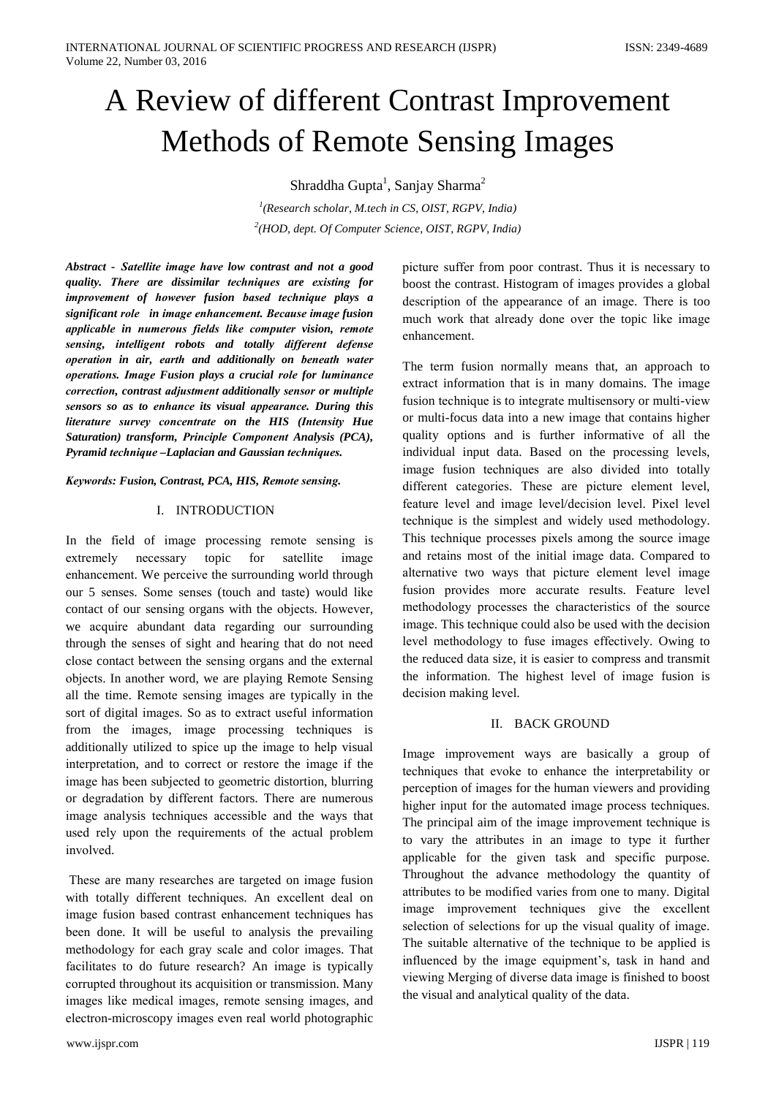# A Review of different Contrast Improvement **Methods of Remote Sensing Images**

Shraddha Gupta<sup>1</sup>, Sanjay Sharma<sup>2</sup>

 $\mu$ <sup>1</sup>(Research scholar, M.tech in CS, OIST, RGPV, India) <sup>2</sup>(HOD, dept. Of Computer Science, OIST, RGPV, India)

Abstract - Satellite image have low contrast and not a good quality. There are dissimilar techniques are existing for improvement of however fusion based technique plays a significant role in image enhancement. Because image fusion applicable in numerous fields like computer vision, remote sensing, intelligent robots and totally different defense operation in air, earth and additionally on beneath water operations. Image Fusion plays a crucial role for luminance correction, contrast adjustment additionally sensor or multiple sensors so as to enhance its visual appearance. During this literature survey concentrate on the HIS (Intensity Hue Saturation) transform, Principle Component Analysis (PCA), Pyramid technique -Laplacian and Gaussian techniques.

#### Keywords: Fusion, Contrast, PCA, HIS, Remote sensing.

#### **I. INTRODUCTION**

In the field of image processing remote sensing is extremely necessary topic for satellite image enhancement. We perceive the surrounding world through our 5 senses. Some senses (touch and taste) would like contact of our sensing organs with the objects. However, we acquire abundant data regarding our surrounding through the senses of sight and hearing that do not need close contact between the sensing organs and the external objects. In another word, we are playing Remote Sensing all the time. Remote sensing images are typically in the sort of digital images. So as to extract useful information from the images, image processing techniques is additionally utilized to spice up the image to help visual interpretation, and to correct or restore the image if the image has been subjected to geometric distortion, blurring or degradation by different factors. There are numerous image analysis techniques accessible and the ways that used rely upon the requirements of the actual problem involved.

These are many researches are targeted on image fusion with totally different techniques. An excellent deal on image fusion based contrast enhancement techniques has been done. It will be useful to analysis the prevailing methodology for each gray scale and color images. That facilitates to do future research? An image is typically corrupted throughout its acquisition or transmission. Many images like medical images, remote sensing images, and electron-microscopy images even real world photographic

picture suffer from poor contrast. Thus it is necessary to boost the contrast. Histogram of images provides a global description of the appearance of an image. There is too much work that already done over the topic like image enhancement.

The term fusion normally means that, an approach to extract information that is in many domains. The image fusion technique is to integrate multisensory or multi-view or multi-focus data into a new image that contains higher quality options and is further informative of all the individual input data. Based on the processing levels, image fusion techniques are also divided into totally different categories. These are picture element level, feature level and image level/decision level. Pixel level technique is the simplest and widely used methodology. This technique processes pixels among the source image and retains most of the initial image data. Compared to alternative two ways that picture element level image fusion provides more accurate results. Feature level methodology processes the characteristics of the source image. This technique could also be used with the decision level methodology to fuse images effectively. Owing to the reduced data size, it is easier to compress and transmit the information. The highest level of image fusion is decision making level.

#### **II. BACK GROUND**

Image improvement ways are basically a group of techniques that evoke to enhance the interpretability or perception of images for the human viewers and providing higher input for the automated image process techniques. The principal aim of the image improvement technique is to vary the attributes in an image to type it further applicable for the given task and specific purpose. Throughout the advance methodology the quantity of attributes to be modified varies from one to many. Digital image improvement techniques give the excellent selection of selections for up the visual quality of image. The suitable alternative of the technique to be applied is influenced by the image equipment's, task in hand and viewing Merging of diverse data image is finished to boost the visual and analytical quality of the data.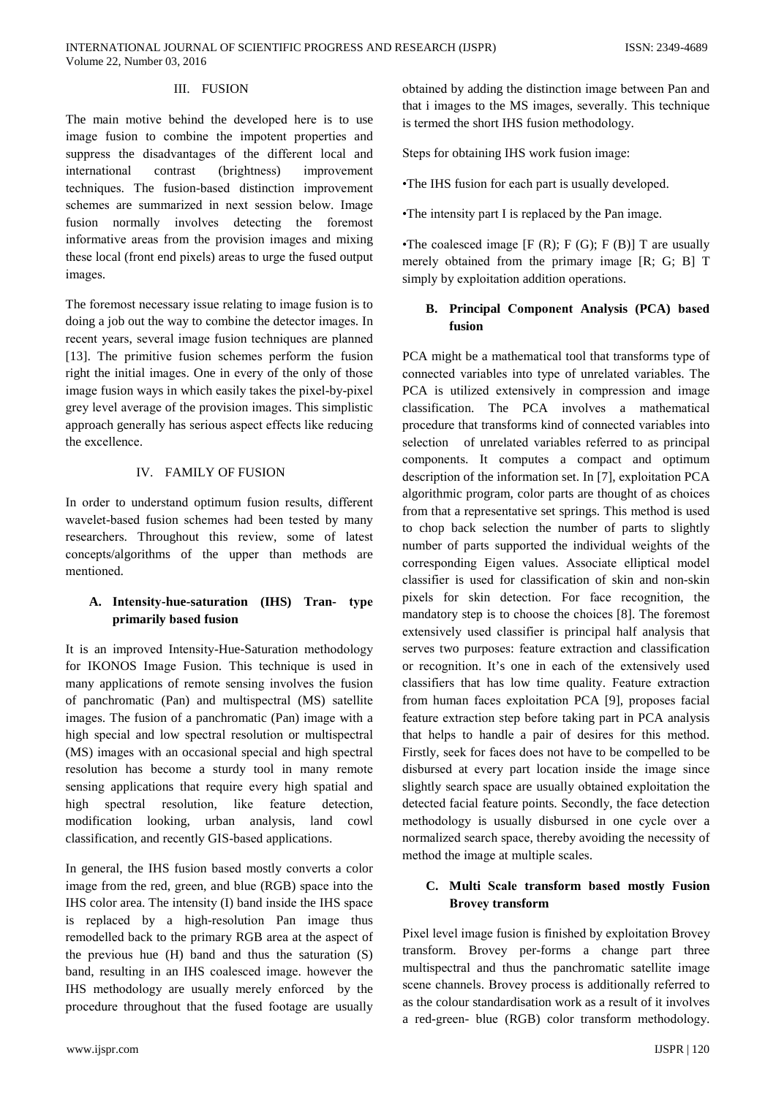#### III. FUSION

The main motive behind the developed here is to use image fusion to combine the impotent properties and suppress the disadvantages of the different local and international contrast (brightness) improvement techniques. The fusion-based distinction improvement schemes are summarized in next session below. Image fusion normally involves detecting the foremost informative areas from the provision images and mixing these local (front end pixels) areas to urge the fused output images.

The foremost necessary issue relating to image fusion is to doing a job out the way to combine the detector images. In recent years, several image fusion techniques are planned [13]. The primitive fusion schemes perform the fusion right the initial images. One in every of the only of those image fusion ways in which easily takes the pixel-by-pixel grey level average of the provision images. This simplistic approach generally has serious aspect effects like reducing the excellence.

# **IV. FAMILY OF FUSION**

In order to understand optimum fusion results, different wavelet-based fusion schemes had been tested by many researchers. Throughout this review, some of latest concepts/algorithms of the upper than methods are mentioned.

# A. Intensity-hue-saturation (IHS) Tran- type primarily based fusion

It is an improved Intensity-Hue-Saturation methodology for IKONOS Image Fusion. This technique is used in many applications of remote sensing involves the fusion of panchromatic (Pan) and multispectral (MS) satellite images. The fusion of a panchromatic (Pan) image with a high special and low spectral resolution or multispectral (MS) images with an occasional special and high spectral resolution has become a sturdy tool in many remote sensing applications that require every high spatial and resolution, like feature detection, high spectral modification looking, urban analysis, land cowl classification, and recently GIS-based applications.

In general, the IHS fusion based mostly converts a color image from the red, green, and blue (RGB) space into the IHS color area. The intensity (I) band inside the IHS space is replaced by a high-resolution Pan image thus remodelled back to the primary RGB area at the aspect of the previous hue  $(H)$  band and thus the saturation  $(S)$ band, resulting in an IHS coalesced image. however the IHS methodology are usually merely enforced by the procedure throughout that the fused footage are usually

obtained by adding the distinction image between Pan and that i images to the MS images, severally. This technique is termed the short IHS fusion methodology.

Steps for obtaining IHS work fusion image:

•The IHS fusion for each part is usually developed.

•The intensity part I is replaced by the Pan image.

•The coalesced image  $[F(R); F(G); F(B)]$  T are usually merely obtained from the primary image [R; G; B] T simply by exploitation addition operations.

# B. Principal Component Analysis (PCA) based fusion

PCA might be a mathematical tool that transforms type of connected variables into type of unrelated variables. The PCA is utilized extensively in compression and image classification. The PCA involves a mathematical procedure that transforms kind of connected variables into selection of unrelated variables referred to as principal components. It computes a compact and optimum description of the information set. In [7], exploitation PCA algorithmic program, color parts are thought of as choices from that a representative set springs. This method is used to chop back selection the number of parts to slightly number of parts supported the individual weights of the corresponding Eigen values. Associate elliptical model classifier is used for classification of skin and non-skin pixels for skin detection. For face recognition, the mandatory step is to choose the choices [8]. The foremost extensively used classifier is principal half analysis that serves two purposes: feature extraction and classification or recognition. It's one in each of the extensively used classifiers that has low time quality. Feature extraction from human faces exploitation PCA [9], proposes facial feature extraction step before taking part in PCA analysis that helps to handle a pair of desires for this method. Firstly, seek for faces does not have to be compelled to be disbursed at every part location inside the image since slightly search space are usually obtained exploitation the detected facial feature points. Secondly, the face detection methodology is usually disbursed in one cycle over a normalized search space, thereby avoiding the necessity of method the image at multiple scales.

# C. Multi Scale transform based mostly Fusion **Brovey transform**

Pixel level image fusion is finished by exploitation Brovey transform. Brovey per-forms a change part three multispectral and thus the panchromatic satellite image scene channels. Brovey process is additionally referred to as the colour standardisation work as a result of it involves a red-green- blue (RGB) color transform methodology.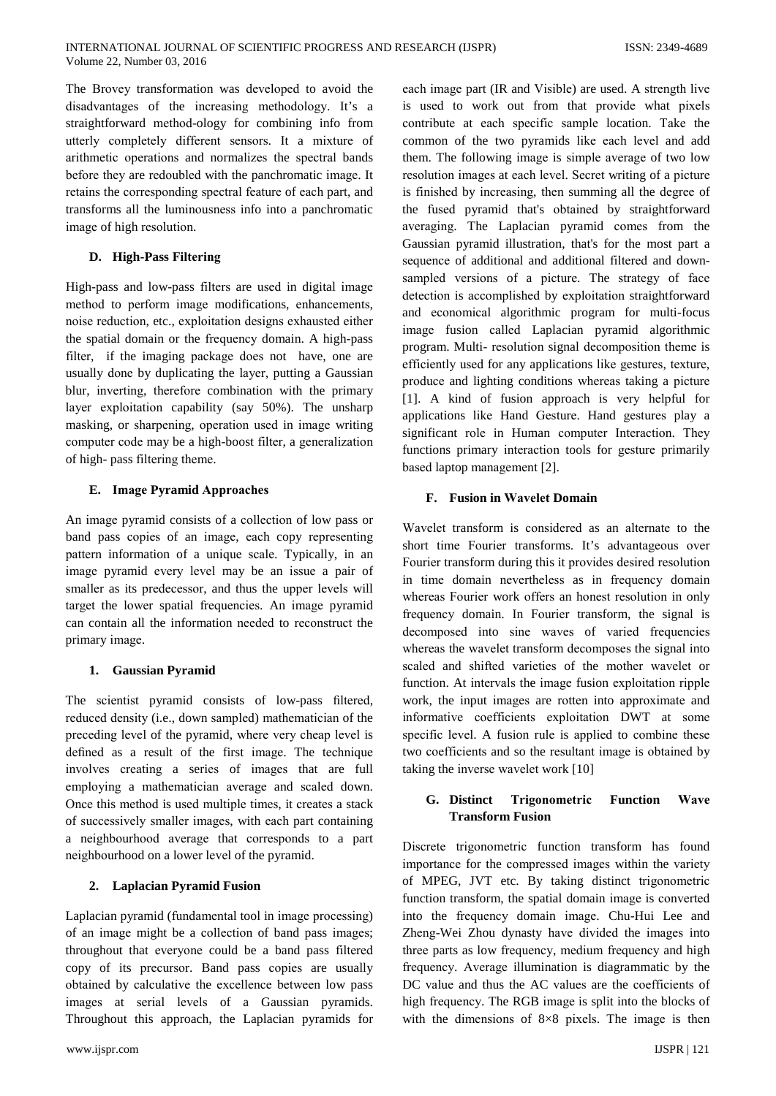The Brovey transformation was developed to avoid the disadvantages of the increasing methodology. It's a straightforward method-ology for combining info from utterly completely different sensors. It a mixture of arithmetic operations and normalizes the spectral bands before they are redoubled with the panchromatic image. It retains the corresponding spectral feature of each part, and transforms all the luminousness info into a panchromatic image of high resolution.

#### D. High-Pass Filtering

High-pass and low-pass filters are used in digital image method to perform image modifications, enhancements, noise reduction, etc., exploitation designs exhausted either the spatial domain or the frequency domain. A high-pass filter, if the imaging package does not have, one are usually done by duplicating the layer, putting a Gaussian blur, inverting, therefore combination with the primary layer exploitation capability (say 50%). The unsharp masking, or sharpening, operation used in image writing computer code may be a high-boost filter, a generalization of high- pass filtering theme.

# E. Image Pyramid Approaches

An image pyramid consists of a collection of low pass or band pass copies of an image, each copy representing pattern information of a unique scale. Typically, in an image pyramid every level may be an issue a pair of smaller as its predecessor, and thus the upper levels will target the lower spatial frequencies. An image pyramid can contain all the information needed to reconstruct the primary image.

# 1. Gaussian Pyramid

The scientist pyramid consists of low-pass filtered, reduced density (i.e., down sampled) mathematician of the preceding level of the pyramid, where very cheap level is defined as a result of the first image. The technique involves creating a series of images that are full employing a mathematician average and scaled down. Once this method is used multiple times, it creates a stack of successively smaller images, with each part containing a neighbourhood average that corresponds to a part neighbourhood on a lower level of the pyramid.

# 2. Laplacian Pyramid Fusion

Laplacian pyramid (fundamental tool in image processing) of an image might be a collection of band pass images; throughout that everyone could be a band pass filtered copy of its precursor. Band pass copies are usually obtained by calculative the excellence between low pass images at serial levels of a Gaussian pyramids. Throughout this approach, the Laplacian pyramids for

each image part (IR and Visible) are used. A strength live is used to work out from that provide what pixels contribute at each specific sample location. Take the common of the two pyramids like each level and add them. The following image is simple average of two low resolution images at each level. Secret writing of a picture is finished by increasing, then summing all the degree of the fused pyramid that's obtained by straightforward averaging. The Laplacian pyramid comes from the Gaussian pyramid illustration, that's for the most part a sequence of additional and additional filtered and downsampled versions of a picture. The strategy of face detection is accomplished by exploitation straightforward and economical algorithmic program for multi-focus image fusion called Laplacian pyramid algorithmic program. Multi-resolution signal decomposition theme is efficiently used for any applications like gestures, texture, produce and lighting conditions whereas taking a picture [1]. A kind of fusion approach is very helpful for applications like Hand Gesture. Hand gestures play a significant role in Human computer Interaction. They functions primary interaction tools for gesture primarily based laptop management [2].

# F. Fusion in Wavelet Domain

Wavelet transform is considered as an alternate to the short time Fourier transforms. It's advantageous over Fourier transform during this it provides desired resolution in time domain nevertheless as in frequency domain whereas Fourier work offers an honest resolution in only frequency domain. In Fourier transform, the signal is decomposed into sine waves of varied frequencies whereas the wavelet transform decomposes the signal into scaled and shifted varieties of the mother wavelet or function. At intervals the image fusion exploitation ripple work, the input images are rotten into approximate and informative coefficients exploitation DWT at some specific level. A fusion rule is applied to combine these two coefficients and so the resultant image is obtained by taking the inverse wavelet work [10]

#### G. Distinct Trigonometric **Function Wave Transform Fusion**

Discrete trigonometric function transform has found importance for the compressed images within the variety of MPEG, JVT etc. By taking distinct trigonometric function transform, the spatial domain image is converted into the frequency domain image. Chu-Hui Lee and Zheng-Wei Zhou dynasty have divided the images into three parts as low frequency, medium frequency and high frequency. Average illumination is diagrammatic by the DC value and thus the AC values are the coefficients of high frequency. The RGB image is split into the blocks of with the dimensions of  $8\times8$  pixels. The image is then